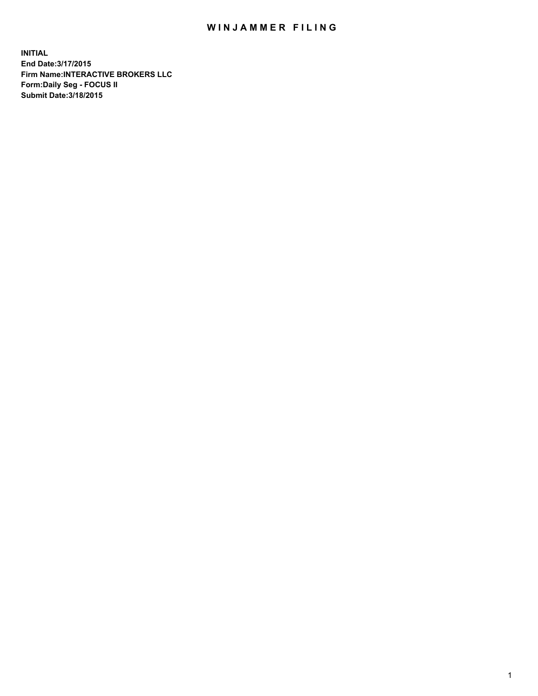## WIN JAMMER FILING

**INITIAL End Date:3/17/2015 Firm Name:INTERACTIVE BROKERS LLC Form:Daily Seg - FOCUS II Submit Date:3/18/2015**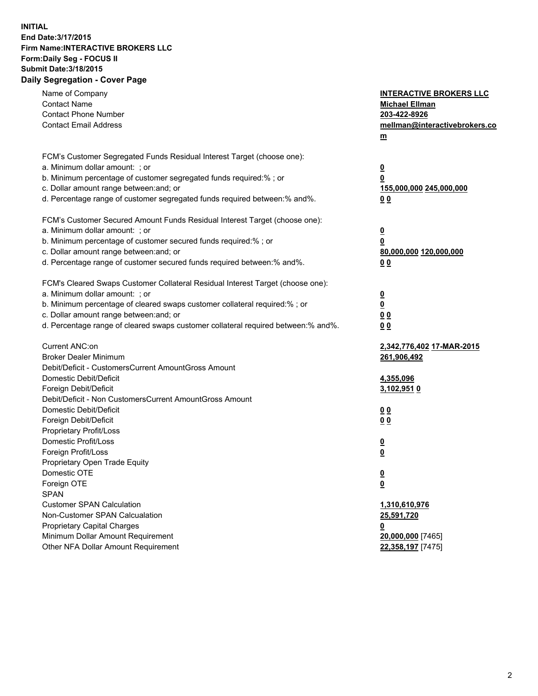## **INITIAL End Date:3/17/2015 Firm Name:INTERACTIVE BROKERS LLC Form:Daily Seg - FOCUS II Submit Date:3/18/2015 Daily Segregation - Cover Page**

| Name of Company                                                                   | <b>INTERACTIVE BROKERS LLC</b> |
|-----------------------------------------------------------------------------------|--------------------------------|
| <b>Contact Name</b>                                                               | <b>Michael Ellman</b>          |
| <b>Contact Phone Number</b>                                                       | 203-422-8926                   |
| <b>Contact Email Address</b>                                                      | mellman@interactivebrokers.co  |
|                                                                                   | $\underline{\mathbf{m}}$       |
| FCM's Customer Segregated Funds Residual Interest Target (choose one):            |                                |
| a. Minimum dollar amount: ; or                                                    | $\overline{\mathbf{0}}$        |
| b. Minimum percentage of customer segregated funds required:% ; or                | 0                              |
| c. Dollar amount range between: and; or                                           | 155,000,000 245,000,000        |
| d. Percentage range of customer segregated funds required between:% and%.         | 00                             |
| FCM's Customer Secured Amount Funds Residual Interest Target (choose one):        |                                |
| a. Minimum dollar amount: ; or                                                    | $\overline{\mathbf{0}}$        |
| b. Minimum percentage of customer secured funds required:% ; or                   | 0                              |
| c. Dollar amount range between: and; or                                           | 80,000,000 120,000,000         |
| d. Percentage range of customer secured funds required between:% and%.            | 00                             |
|                                                                                   |                                |
| FCM's Cleared Swaps Customer Collateral Residual Interest Target (choose one):    |                                |
| a. Minimum dollar amount: ; or                                                    | $\overline{\mathbf{0}}$        |
| b. Minimum percentage of cleared swaps customer collateral required:% ; or        | $\underline{\mathbf{0}}$       |
| c. Dollar amount range between: and; or                                           | 0 <sub>0</sub>                 |
| d. Percentage range of cleared swaps customer collateral required between:% and%. | 0 <sub>0</sub>                 |
| Current ANC:on                                                                    | 2,342,776,402 17-MAR-2015      |
| <b>Broker Dealer Minimum</b>                                                      | 261,906,492                    |
| Debit/Deficit - CustomersCurrent AmountGross Amount                               |                                |
| Domestic Debit/Deficit                                                            | 4,355,096                      |
| Foreign Debit/Deficit                                                             | <u>3,102,9510</u>              |
| Debit/Deficit - Non CustomersCurrent AmountGross Amount                           |                                |
| Domestic Debit/Deficit                                                            | 0 <sub>0</sub>                 |
| Foreign Debit/Deficit                                                             | 0 <sub>0</sub>                 |
| Proprietary Profit/Loss                                                           |                                |
| Domestic Profit/Loss                                                              | $\overline{\mathbf{0}}$        |
| Foreign Profit/Loss                                                               | $\underline{\mathbf{0}}$       |
| Proprietary Open Trade Equity                                                     |                                |
| Domestic OTE                                                                      | <u>0</u>                       |
| Foreign OTE                                                                       | <u>0</u>                       |
| <b>SPAN</b>                                                                       |                                |
| <b>Customer SPAN Calculation</b>                                                  | 1,310,610,976                  |
| Non-Customer SPAN Calcualation                                                    | 25,591,720                     |
| Proprietary Capital Charges                                                       | <u>0</u>                       |
| Minimum Dollar Amount Requirement                                                 | 20,000,000 [7465]              |
| Other NFA Dollar Amount Requirement                                               | 22,358,197 [7475]              |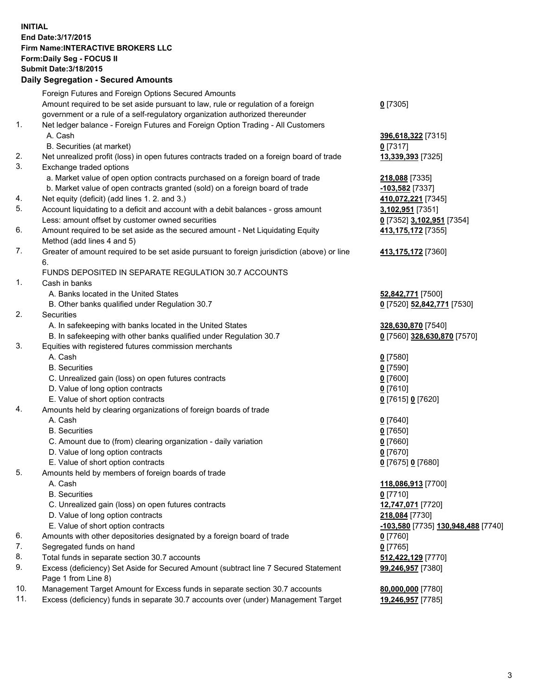## **INITIAL End Date:3/17/2015 Firm Name:INTERACTIVE BROKERS LLC Form:Daily Seg - FOCUS II Submit Date:3/18/2015 Daily Segregation - Secured Amounts**

|     | Dany Ocgregation - Oceaned Announts                                                         |                                    |
|-----|---------------------------------------------------------------------------------------------|------------------------------------|
|     | Foreign Futures and Foreign Options Secured Amounts                                         |                                    |
|     | Amount required to be set aside pursuant to law, rule or regulation of a foreign            | $0$ [7305]                         |
|     | government or a rule of a self-regulatory organization authorized thereunder                |                                    |
| 1.  | Net ledger balance - Foreign Futures and Foreign Option Trading - All Customers             |                                    |
|     | A. Cash                                                                                     | 396,618,322 [7315]                 |
|     | B. Securities (at market)                                                                   | 0 [7317]                           |
| 2.  | Net unrealized profit (loss) in open futures contracts traded on a foreign board of trade   | 13,339,393 [7325]                  |
| 3.  | Exchange traded options                                                                     |                                    |
|     | a. Market value of open option contracts purchased on a foreign board of trade              | 218,088 [7335]                     |
|     | b. Market value of open contracts granted (sold) on a foreign board of trade                | $-103,582$ [7337]                  |
| 4.  | Net equity (deficit) (add lines 1.2. and 3.)                                                | 410,072,221 [7345]                 |
| 5.  | Account liquidating to a deficit and account with a debit balances - gross amount           | 3,102,951 [7351]                   |
|     | Less: amount offset by customer owned securities                                            | 0 [7352] 3,102,951 [7354]          |
| 6.  | Amount required to be set aside as the secured amount - Net Liquidating Equity              | 413,175,172 [7355]                 |
|     | Method (add lines 4 and 5)                                                                  |                                    |
| 7.  | Greater of amount required to be set aside pursuant to foreign jurisdiction (above) or line | 413,175,172 [7360]                 |
|     | 6.                                                                                          |                                    |
|     | FUNDS DEPOSITED IN SEPARATE REGULATION 30.7 ACCOUNTS                                        |                                    |
| 1.  | Cash in banks                                                                               |                                    |
|     | A. Banks located in the United States                                                       | 52,842,771 [7500]                  |
|     | B. Other banks qualified under Regulation 30.7                                              | 0 [7520] 52,842,771 [7530]         |
| 2.  | Securities                                                                                  |                                    |
|     | A. In safekeeping with banks located in the United States                                   | 328,630,870 [7540]                 |
|     | B. In safekeeping with other banks qualified under Regulation 30.7                          | 0 [7560] 328,630,870 [7570]        |
| 3.  | Equities with registered futures commission merchants                                       |                                    |
|     | A. Cash                                                                                     | $0$ [7580]                         |
|     | <b>B.</b> Securities                                                                        | $0$ [7590]                         |
|     | C. Unrealized gain (loss) on open futures contracts                                         | $0$ [7600]                         |
|     | D. Value of long option contracts                                                           | $0$ [7610]                         |
|     | E. Value of short option contracts                                                          |                                    |
| 4.  |                                                                                             | 0 [7615] 0 [7620]                  |
|     | Amounts held by clearing organizations of foreign boards of trade<br>A. Cash                |                                    |
|     |                                                                                             | $0$ [7640]                         |
|     | <b>B.</b> Securities                                                                        | $0$ [7650]                         |
|     | C. Amount due to (from) clearing organization - daily variation                             | $0$ [7660]                         |
|     | D. Value of long option contracts                                                           | $0$ [7670]                         |
|     | E. Value of short option contracts                                                          | 0 [7675] 0 [7680]                  |
| 5.  | Amounts held by members of foreign boards of trade                                          |                                    |
|     | A. Cash                                                                                     | 118,086,913 [7700]                 |
|     | <b>B.</b> Securities                                                                        | $0$ [7710]                         |
|     | C. Unrealized gain (loss) on open futures contracts                                         | 12,747,071 [7720]                  |
|     | D. Value of long option contracts                                                           | 218,084 [7730]                     |
|     | E. Value of short option contracts                                                          | -103,580 [7735] 130,948,488 [7740] |
| 6.  | Amounts with other depositories designated by a foreign board of trade                      | 0 [7760]                           |
| 7.  | Segregated funds on hand                                                                    | $0$ [7765]                         |
| 8.  | Total funds in separate section 30.7 accounts                                               | 512,422,129 [7770]                 |
| 9.  | Excess (deficiency) Set Aside for Secured Amount (subtract line 7 Secured Statement         | 99,246,957 [7380]                  |
|     | Page 1 from Line 8)                                                                         |                                    |
| 10. | Management Target Amount for Excess funds in separate section 30.7 accounts                 | 80,000,000 [7780]                  |
| 11. | Excess (deficiency) funds in separate 30.7 accounts over (under) Management Target          | 19,246,957 [7785]                  |
|     |                                                                                             |                                    |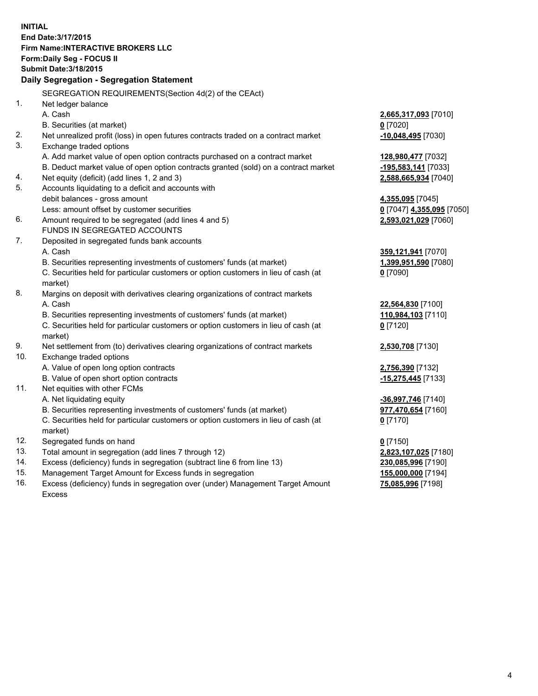**INITIAL End Date:3/17/2015 Firm Name:INTERACTIVE BROKERS LLC Form:Daily Seg - FOCUS II Submit Date:3/18/2015 Daily Segregation - Segregation Statement** SEGREGATION REQUIREMENTS(Section 4d(2) of the CEAct) 1. Net ledger balance A. Cash **2,665,317,093** [7010] B. Securities (at market) **0** [7020] 2. Net unrealized profit (loss) in open futures contracts traded on a contract market **-10,048,495** [7030] 3. Exchange traded options A. Add market value of open option contracts purchased on a contract market **128,980,477** [7032] B. Deduct market value of open option contracts granted (sold) on a contract market **-195,583,141** [7033] 4. Net equity (deficit) (add lines 1, 2 and 3) **2,588,665,934** [7040] 5. Accounts liquidating to a deficit and accounts with debit balances - gross amount **4,355,095** [7045] Less: amount offset by customer securities **0** [7047] **4,355,095** [7050] 6. Amount required to be segregated (add lines 4 and 5) **2,593,021,029** [7060] FUNDS IN SEGREGATED ACCOUNTS 7. Deposited in segregated funds bank accounts A. Cash **359,121,941** [7070] B. Securities representing investments of customers' funds (at market) **1,399,951,590** [7080] C. Securities held for particular customers or option customers in lieu of cash (at market) **0** [7090] 8. Margins on deposit with derivatives clearing organizations of contract markets A. Cash **22,564,830** [7100] B. Securities representing investments of customers' funds (at market) **110,984,103** [7110] C. Securities held for particular customers or option customers in lieu of cash (at market) **0** [7120] 9. Net settlement from (to) derivatives clearing organizations of contract markets **2,530,708** [7130] 10. Exchange traded options A. Value of open long option contracts **2,756,390** [7132] B. Value of open short option contracts **-15,275,445** [7133] 11. Net equities with other FCMs A. Net liquidating equity **-36,997,746** [7140] B. Securities representing investments of customers' funds (at market) **977,470,654** [7160] C. Securities held for particular customers or option customers in lieu of cash (at market) **0** [7170] 12. Segregated funds on hand **0** [7150] 13. Total amount in segregation (add lines 7 through 12) **2,823,107,025** [7180] 14. Excess (deficiency) funds in segregation (subtract line 6 from line 13) **230,085,996** [7190] 15. Management Target Amount for Excess funds in segregation **155,000,000** [7194]

16. Excess (deficiency) funds in segregation over (under) Management Target Amount Excess

**75,085,996** [7198]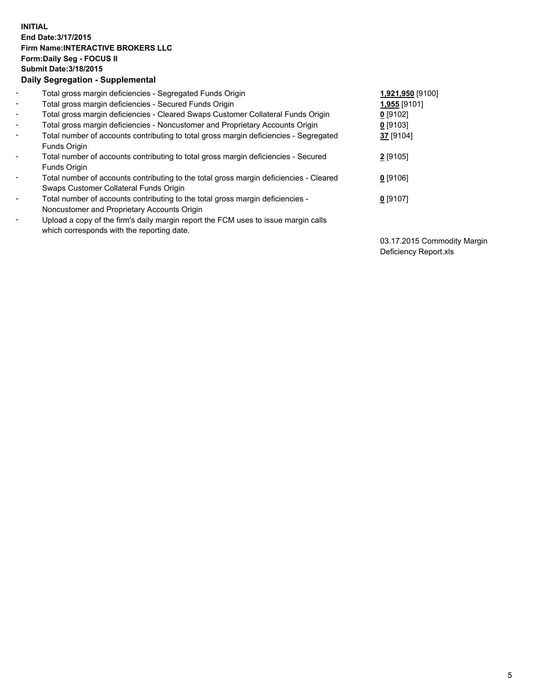## **INITIAL End Date:3/17/2015 Firm Name:INTERACTIVE BROKERS LLC Form:Daily Seg - FOCUS II Submit Date:3/18/2015 Daily Segregation - Supplemental**

| $\blacksquare$ | Total gross margin deficiencies - Segregated Funds Origin                              | 1,921,950 [9100] |
|----------------|----------------------------------------------------------------------------------------|------------------|
| $\sim$         | Total gross margin deficiencies - Secured Funds Origin                                 | 1,955 [9101]     |
| $\blacksquare$ | Total gross margin deficiencies - Cleared Swaps Customer Collateral Funds Origin       | $0$ [9102]       |
| $\blacksquare$ | Total gross margin deficiencies - Noncustomer and Proprietary Accounts Origin          | $0$ [9103]       |
| $\blacksquare$ | Total number of accounts contributing to total gross margin deficiencies - Segregated  | 37 [9104]        |
|                | <b>Funds Origin</b>                                                                    |                  |
| $\blacksquare$ | Total number of accounts contributing to total gross margin deficiencies - Secured     | $2$ [9105]       |
|                | Funds Origin                                                                           |                  |
| $\blacksquare$ | Total number of accounts contributing to the total gross margin deficiencies - Cleared | $0$ [9106]       |
|                | Swaps Customer Collateral Funds Origin                                                 |                  |
| $\blacksquare$ | Total number of accounts contributing to the total gross margin deficiencies -         | $0$ [9107]       |
|                | Noncustomer and Proprietary Accounts Origin                                            |                  |
| Ξ.             | Upload a copy of the firm's daily margin report the FCM uses to issue margin calls     |                  |
|                | which corresponds with the reporting date.                                             |                  |

03.17.2015 Commodity Margin Deficiency Report.xls